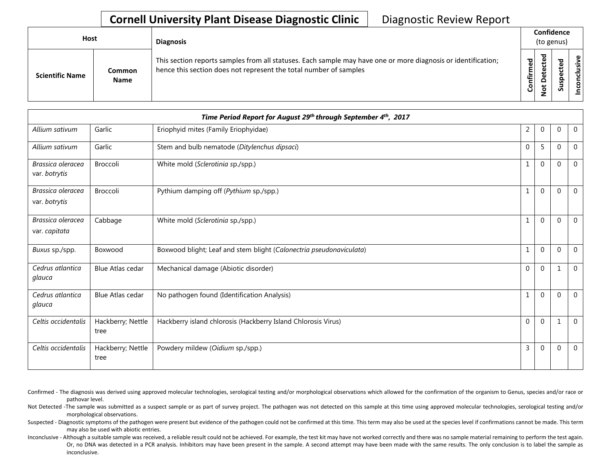## **Cornell University Plant Disease Diagnostic Clinic** | Diagnostic Review Report

| <b>Host</b>            |                       | <b>Diagnosis</b>                                                                                                                                                                   |           | Confidence<br>(to genus) |   |                           |
|------------------------|-----------------------|------------------------------------------------------------------------------------------------------------------------------------------------------------------------------------|-----------|--------------------------|---|---------------------------|
| <b>Scientific Name</b> | Common<br><b>Name</b> | This section reports samples from all statuses. Each sample may have one or more diagnosis or identification;<br>hence this section does not represent the total number of samples | Confirmed | ъ<br>Δ<br>پ<br>ۊ         | ທ | ω<br>usiv<br>᠊ᠣ<br>š<br>S |

|                                    |                           | Time Period Report for August 29th through September 4th, 2017      |              |              |          |                |
|------------------------------------|---------------------------|---------------------------------------------------------------------|--------------|--------------|----------|----------------|
| Allium sativum                     | Garlic                    | Eriophyid mites (Family Eriophyidae)                                | 2            | $\mathbf 0$  | $\Omega$ | $\overline{0}$ |
| Allium sativum                     | Garlic                    | Stem and bulb nematode (Ditylenchus dipsaci)                        | $\mathbf{0}$ | 5            | $\Omega$ | $\mathbf 0$    |
| Brassica oleracea<br>var. botrytis | Broccoli                  | White mold (Sclerotinia sp./spp.)                                   |              | $\mathbf{0}$ | $\Omega$ | $\mathbf 0$    |
| Brassica oleracea<br>var. botrytis | Broccoli                  | Pythium damping off (Pythium sp./spp.)                              | 1            | $\mathbf 0$  | 0        | 0              |
| Brassica oleracea<br>var. capitata | Cabbage                   | White mold (Sclerotinia sp./spp.)                                   |              | $\mathbf 0$  | 0        | $\overline{0}$ |
| Buxus sp./spp.                     | Boxwood                   | Boxwood blight; Leaf and stem blight (Calonectria pseudonaviculata) |              | $\mathbf 0$  | $\Omega$ | $\mathbf 0$    |
| Cedrus atlantica<br>glauca         | <b>Blue Atlas cedar</b>   | Mechanical damage (Abiotic disorder)                                | $\mathbf{0}$ | $\mathbf{0}$ | 1        | $\mathbf 0$    |
| Cedrus atlantica<br>glauca         | <b>Blue Atlas cedar</b>   | No pathogen found (Identification Analysis)                         | 1            | $\mathbf 0$  | 0        | $\mathbf 0$    |
| Celtis occidentalis                | Hackberry; Nettle<br>tree | Hackberry island chlorosis (Hackberry Island Chlorosis Virus)       | $\mathbf{0}$ | $\mathbf{0}$ | 1        | $\mathbf 0$    |
| Celtis occidentalis                | Hackberry; Nettle<br>tree | Powdery mildew (Oidium sp./spp.)                                    | 3            | $\Omega$     | $\Omega$ | $\mathbf 0$    |

- Confirmed The diagnosis was derived using approved molecular technologies, serological testing and/or morphological observations which allowed for the confirmation of the organism to Genus, species and/or race or pathovar level.
- Not Detected -The sample was submitted as a suspect sample or as part of survey project. The pathogen was not detected on this sample at this time using approved molecular technologies, serological testing and/or morphological observations.
- Suspected Diagnostic symptoms of the pathogen were present but evidence of the pathogen could not be confirmed at this time. This term may also be used at the species level if confirmations cannot be made. This term may also be used with abiotic entries.
- Inconclusive Although a suitable sample was received, a reliable result could not be achieved. For example, the test kit may have not worked correctly and there was no sample material remaining to perform the test again. Or, no DNA was detected in a PCR analysis. Inhibitors may have been present in the sample. A second attempt may have been made with the same results. The only conclusion is to label the sample as inconclusive.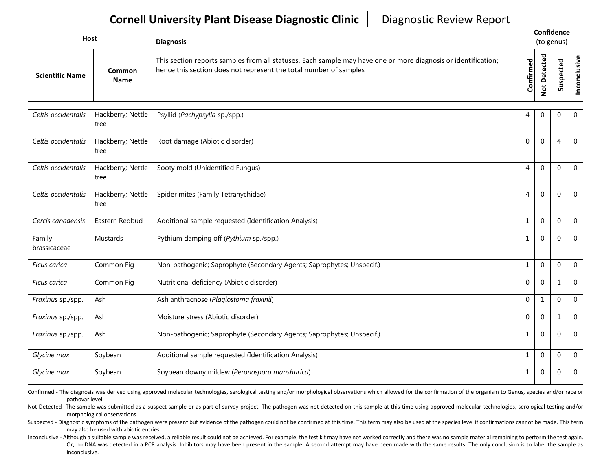## **Cornell University Plant Disease Diagnostic Clinic** | Diagnostic Review Report

| Host                   |                       | <b>Diagnosis</b>                                                                                                                                                                   |           | Confidence<br>(to genus) |  |                       |
|------------------------|-----------------------|------------------------------------------------------------------------------------------------------------------------------------------------------------------------------------|-----------|--------------------------|--|-----------------------|
| <b>Scientific Name</b> | Common<br><b>Name</b> | This section reports samples from all statuses. Each sample may have one or more diagnosis or identification;<br>hence this section does not represent the total number of samples | Confirmed | ᇃ<br>c                   |  | usive<br>᠊ᠣ<br>c<br>g |

| Celtis occidentalis    | Hackberry; Nettle<br>tree | Psyllid (Pachypsylla sp./spp.)                                        | 4            | $\mathbf{0}$ | $\Omega$       | $\mathbf{0}$   |
|------------------------|---------------------------|-----------------------------------------------------------------------|--------------|--------------|----------------|----------------|
| Celtis occidentalis    | Hackberry; Nettle<br>tree | Root damage (Abiotic disorder)                                        | $\Omega$     | $\Omega$     | $\overline{4}$ | $\Omega$       |
| Celtis occidentalis    | Hackberry; Nettle<br>tree | Sooty mold (Unidentified Fungus)                                      | 4            | $\Omega$     | $\Omega$       | $\mathbf 0$    |
| Celtis occidentalis    | Hackberry; Nettle<br>tree | Spider mites (Family Tetranychidae)                                   | 4            | $\mathbf 0$  | $\Omega$       | $\mathbf 0$    |
| Cercis canadensis      | Eastern Redbud            | Additional sample requested (Identification Analysis)                 | 1            | $\mathbf 0$  | $\Omega$       | $\overline{0}$ |
| Family<br>brassicaceae | <b>Mustards</b>           | Pythium damping off (Pythium sp./spp.)                                | 1            | $\mathbf{0}$ | $\mathbf 0$    | $\mathbf 0$    |
| Ficus carica           | Common Fig                | Non-pathogenic; Saprophyte (Secondary Agents; Saprophytes; Unspecif.) | 1            | $\mathbf 0$  | $\Omega$       | $\overline{0}$ |
| Ficus carica           | Common Fig                | Nutritional deficiency (Abiotic disorder)                             | $\mathbf{0}$ | $\mathbf{0}$ | 1              | $\mathbf 0$    |
| Fraxinus sp./spp.      | Ash                       | Ash anthracnose (Plagiostoma fraxinii)                                | $\mathbf{0}$ | 1            | $\Omega$       | $\overline{0}$ |
| Fraxinus sp./spp.      | Ash                       | Moisture stress (Abiotic disorder)                                    | $\mathbf{0}$ | $\Omega$     | 1              | $\overline{0}$ |
| Fraxinus sp./spp.      | Ash                       | Non-pathogenic; Saprophyte (Secondary Agents; Saprophytes; Unspecif.) | 1            | $\mathbf{0}$ | $\mathbf 0$    | $\mathbf 0$    |
| Glycine max            | Soybean                   | Additional sample requested (Identification Analysis)                 | 1            | $\mathbf{0}$ | $\Omega$       | $\overline{0}$ |
| Glycine max            | Soybean                   | Soybean downy mildew (Peronospora manshurica)                         | 1            | $\mathbf{0}$ | $\mathbf 0$    | $\overline{0}$ |

Confirmed - The diagnosis was derived using approved molecular technologies, serological testing and/or morphological observations which allowed for the confirmation of the organism to Genus, species and/or race or pathovar level.

Not Detected -The sample was submitted as a suspect sample or as part of survey project. The pathogen was not detected on this sample at this time using approved molecular technologies, serological testing and/or morphological observations.

Suspected - Diagnostic symptoms of the pathogen were present but evidence of the pathogen could not be confirmed at this time. This term may also be used at the species level if confirmations cannot be made. This term may also be used with abiotic entries.

Inconclusive - Although a suitable sample was received, a reliable result could not be achieved. For example, the test kit may have not worked correctly and there was no sample material remaining to perform the test again. Or, no DNA was detected in a PCR analysis. Inhibitors may have been present in the sample. A second attempt may have been made with the same results. The only conclusion is to label the sample as inconclusive.